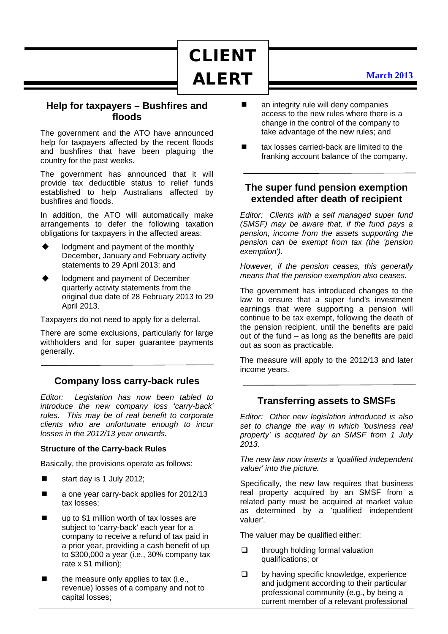CLIENT ALERT

## **Help for taxpayers – Bushfires and floods**

The government and the ATO have announced help for taxpayers affected by the recent floods and bushfires that have been plaguing the country for the past weeks.

The government has announced that it will provide tax deductible status to relief funds established to help Australians affected by bushfires and floods.

In addition, the ATO will automatically make arrangements to defer the following taxation obligations for taxpayers in the affected areas:

- lodgment and payment of the monthly December, January and February activity statements to 29 April 2013; and
- lodgment and payment of December quarterly activity statements from the original due date of 28 February 2013 to 29 April 2013.

Taxpayers do not need to apply for a deferral.

There are some exclusions, particularly for large withholders and for super quarantee payments generally.

# **Company loss carry-back rules**

*Editor: Legislation has now been tabled to introduce the new company loss 'carry-back' rules. This may be of real benefit to corporate clients who are unfortunate enough to incur losses in the 2012/13 year onwards.*

#### **Structure of the Carry-back Rules**

Basically, the provisions operate as follows:

- start day is 1 July 2012;
- a one year carry-back applies for 2012/13 tax losses;
- up to \$1 million worth of tax losses are subject to 'carry-back' each year for a company to receive a refund of tax paid in a prior year, providing a cash benefit of up to \$300,000 a year (i.e., 30% company tax rate  $x$  \$1 million);
- the measure only applies to tax (i.e., revenue) losses of a company and not to capital losses;
- **E** an integrity rule will deny companies access to the new rules where there is a change in the control of the company to take advantage of the new rules; and
- tax losses carried-back are limited to the franking account balance of the company.

# **The super fund pension exemption extended after death of recipient**

*Editor: Clients with a self managed super fund (SMSF) may be aware that, if the fund pays a pension, income from the assets supporting the pension can be exempt from tax (the 'pension exemption').* 

*However, if the pension ceases, this generally means that the pension exemption also ceases.*

The government has introduced changes to the law to ensure that a super fund's investment earnings that were supporting a pension will continue to be tax exempt, following the death of the pension recipient, until the benefits are paid out of the fund – as long as the benefits are paid out as soon as practicable.

The measure will apply to the 2012/13 and later income years.

# **Transferring assets to SMSFs**

*Editor: Other new legislation introduced is also set to change the way in which 'business real property' is acquired by an SMSF from 1 July 2013.*

*The new law now inserts a 'qualified independent valuer' into the picture.*

Specifically, the new law requires that business real property acquired by an SMSF from a related party must be acquired at market value as determined by a 'qualified independent valuer'.

The valuer may be qualified either:

- $\Box$  through holding formal valuation qualifications; or
- $\Box$  by having specific knowledge, experience and judgment according to their particular professional community (e.g., by being a current member of a relevant professional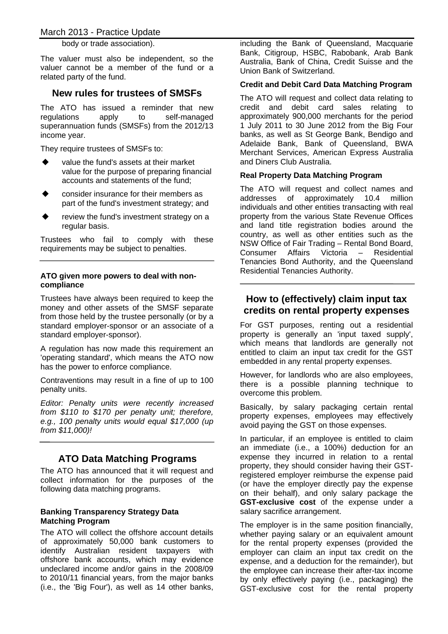body or trade association).

The valuer must also be independent, so the valuer cannot be a member of the fund or a related party of the fund.

## **New rules for trustees of SMSFs**

The ATO has issued a reminder that new regulations apply to self-managed superannuation funds (SMSFs) from the 2012/13 income year.

They require trustees of SMSFs to:

- value the fund's assets at their market value for the purpose of preparing financial accounts and statements of the fund;
- consider insurance for their members as part of the fund's investment strategy; and
- review the fund's investment strategy on a regular basis.

Trustees who fail to comply with these requirements may be subject to penalties.

#### **ATO given more powers to deal with noncompliance**

Trustees have always been required to keep the money and other assets of the SMSF separate from those held by the trustee personally (or by a standard employer-sponsor or an associate of a standard employer-sponsor).

A regulation has now made this requirement an 'operating standard', which means the ATO now has the power to enforce compliance.

Contraventions may result in a fine of up to 100 penalty units.

*Editor: Penalty units were recently increased from \$110 to \$170 per penalty unit; therefore, e.g., 100 penalty units would equal \$17,000 (up from \$11,000)!*

# **ATO Data Matching Programs**

The ATO has announced that it will request and collect information for the purposes of the following data matching programs.

## **Banking Transparency Strategy Data Matching Program**

The ATO will collect the offshore account details of approximately 50,000 bank customers to identify Australian resident taxpayers with offshore bank accounts, which may evidence undeclared income and/or gains in the 2008/09 to 2010/11 financial years, from the major banks (i.e., the 'Big Four'), as well as 14 other banks, including the Bank of Queensland, Macquarie Bank, Citigroup, HSBC, Rabobank, Arab Bank Australia, Bank of China, Credit Suisse and the Union Bank of Switzerland.

## **Credit and Debit Card Data Matching Program**

The ATO will request and collect data relating to credit and debit card sales relating to approximately 900,000 merchants for the period 1 July 2011 to 30 June 2012 from the Big Four banks, as well as St George Bank, Bendigo and Adelaide Bank, Bank of Queensland, BWA Merchant Services, American Express Australia and Diners Club Australia.

## **Real Property Data Matching Program**

The ATO will request and collect names and addresses of approximately 10.4 million individuals and other entities transacting with real property from the various State Revenue Offices and land title registration bodies around the country, as well as other entities such as the NSW Office of Fair Trading – Rental Bond Board, Consumer Affairs Victoria – Residential Tenancies Bond Authority, and the Queensland Residential Tenancies Authority.

## **How to (effectively) claim input tax credits on rental property expenses**

For GST purposes, renting out a residential property is generally an 'input taxed supply', which means that landlords are generally not entitled to claim an input tax credit for the GST embedded in any rental property expenses.

However, for landlords who are also employees, there is a possible planning technique to overcome this problem.

Basically, by salary packaging certain rental property expenses, employees may effectively avoid paying the GST on those expenses.

In particular, if an employee is entitled to claim an immediate (i.e., a 100%) deduction for an expense they incurred in relation to a rental property, they should consider having their GSTregistered employer reimburse the expense paid (or have the employer directly pay the expense on their behalf), and only salary package the **GST-exclusive cost** of the expense under a salary sacrifice arrangement.

The employer is in the same position financially, whether paying salary or an equivalent amount for the rental property expenses (provided the employer can claim an input tax credit on the expense, and a deduction for the remainder), but the employee can increase their after-tax income by only effectively paying (i.e., packaging) the GST-exclusive cost for the rental property